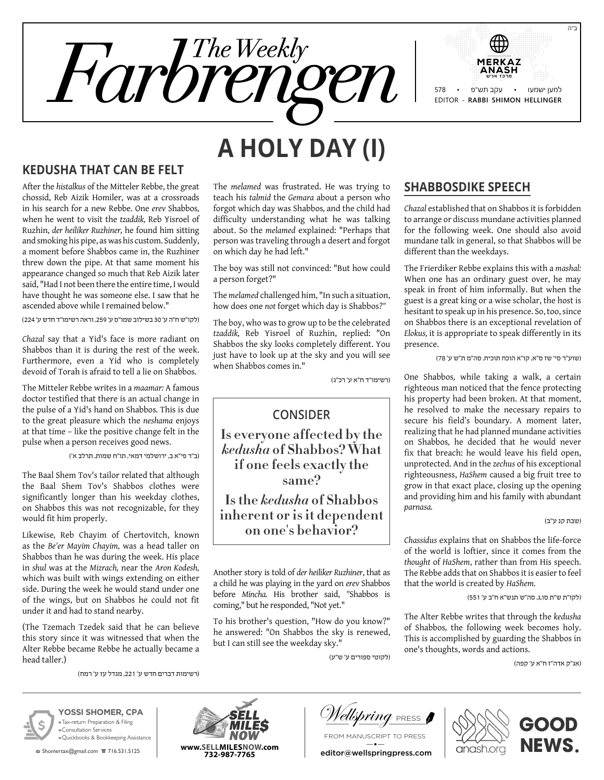

# **A Holy Day (I)**

## **Kedusha that can be Felt**

After the *histalkus* of the Mitteler Rebbe, the great chossid, Reb Aizik Homiler, was at a crossroads in his search for a new Rebbe. One *erev* Shabbos*,* when he went to visit the *tzaddik,* Reb Yisroel of Ruzhin, *der heiliker Ruzhiner,* he found him sitting and smoking his pipe, as was his custom. Suddenly, a moment before Shabbos came in, the Ruzhiner threw down the pipe. At that same moment his appearance changed so much that Reb Aizik later said, "Had I not been there the entire time, I would have thought he was someone else. I saw that he ascended above while I remained below."

)לקו"ש ח"ה ע' 30 בשילוב שמו"ס ע' ,259 וראה רשימו"ד חדש ע' 224(

*Chazal* say that a Yid's face is more radiant on Shabbos than it is during the rest of the week. Furthermore, even a Yid who is completely devoid of Torah is afraid to tell a lie on Shabbos*.*

The Mitteler Rebbe writes in a *maamar:* A famous doctor testified that there is an actual change in the pulse of a Yid's hand on Shabbos*.* This is due to the great pleasure which the *neshama* enjoys at that time – like the positive change felt in the pulse when a person receives good news.

)ב"ר פי"א ב, ירושלמי דמאי, תו"ח שמות, תרלב א'(

The Baal Shem Tov's tailor related that although the Baal Shem Tov's Shabbos clothes were significantly longer than his weekday clothes, on Shabbos this was not recognizable, for they would fit him properly.

Likewise*,* Reb Chayim of Chertovitch, known as the *Be'er Mayim Chayim,* was a head taller on Shabbos than he was during the week. His place in *shul* was at the *Mizrach,* near the *Aron Kodesh,* which was built with wings extending on either side. During the week he would stand under one of the wings, but on Shabbos he could not fit under it and had to stand nearby.

(The Tzemach Tzedek said that he can believe this story since it was witnessed that when the Alter Rebbe became Rebbe he actually became a head taller.)

)רשימות דברים חדש ע' ,221 מגדל עז ע' רמח(

The *melamed* was frustrated. He was trying to teach his *talmid* the *Gemara* about a person who forgot which day was Shabbos*,* and the child had difficulty understanding what he was talking about. So the *melamed* explained: "Perhaps that person was traveling through a desert and forgot on which day he had left."

The boy was still not convinced: "But how could a person forget?"

The *melamed* challenged him, "In such a situation, how does one *not* forget which day is Shabbos*?"*

The boy, who was to grow up to be the celebrated *tzaddik,* Reb Yisroel of Ruzhin, replied: "On Shabbos the sky looks completely different. You just have to look up at the sky and you will see when Shabbos comes in."

)רשימו"ד ח"א ע' רכ"ג(

## **Consider**

**Is everyone affected by the**  *kedusha* **of Shabbos? What if one feels exactly the same?**

**Is the** *kedusha* **of Shabbos inherent or is it dependent on one's behavior?**

Another story is told of *der heiliker Ruzhiner*, that as a child he was playing in the yard on *erev* Shabbos before *Mincha.* His brother said, *"*Shabbos is coming," but he responded, "Not yet."

To his brother's question, "How do you know?" he answered: "On Shabbos the sky is renewed, but I can still see the weekday sky."

)לקוטי ספורים ע' ש"ע(

## **Shabbosdike Speech**

*Chazal* established that on Shabbos it is forbidden to arrange or discuss mundane activities planned for the following week. One should also avoid mundane talk in general, so that Shabbos will be different than the weekdays.

The Frierdiker Rebbe explains this with a *mashal:* When one has an ordinary guest over, he may speak in front of him informally. But when the guest is a great king or a wise scholar, the host is hesitant to speak up in his presence. So, too, since on Shabbos there is an exceptional revelation of *Elokus,* it is appropriate to speak differently in its presence.

)שוע"ר סי' שז ס"א, קו"א הוכח תוכיח, סה"מ ת"ש ע' 78(

One Shabbos*,* while taking a walk, a certain righteous man noticed that the fence protecting his property had been broken. At that moment, he resolved to make the necessary repairs to secure his field's boundary. A moment later, realizing that he had planned mundane activities on Shabbos*,* he decided that he would never fix that breach: he would leave his field open, unprotected. And in the *zechus* of his exceptional righteousness, *HaShem* caused a big fruit tree to grow in that exact place, closing up the opening and providing him and his family with abundant *parnasa.*

(שבת קנ ע"ב)

ב"ה

*Chassidus* explains that on Shabbos the life-force of the world is loftier, since it comes from the *thought* of *HaShem*, rather than from His speech. The Rebbe adds that on Shabbos it is easier to feel that the world is created by *HaShem.*

)לקו"ת ש"ת סו,ג, סה"ש תנש"א ח"ב ע' 551(

The Alter Rebbe writes that through the *kedusha* of Shabbos*,* the following week becomes holy. This is accomplished by guarding the Shabbos in one's thoughts, words and actions.

)אג"ק אדה"ז ח"א ע' קפה(



**YOSSI SHOMER, CPA »** Tax-return Preparation & Filing **»** Consultation Services **»** Quickbooks & Bookkeeping Assistance

**图 Shomertax@gmail.com 盲 716.531.5125** 



V*ellspring* press **f** 

From manuscript to press